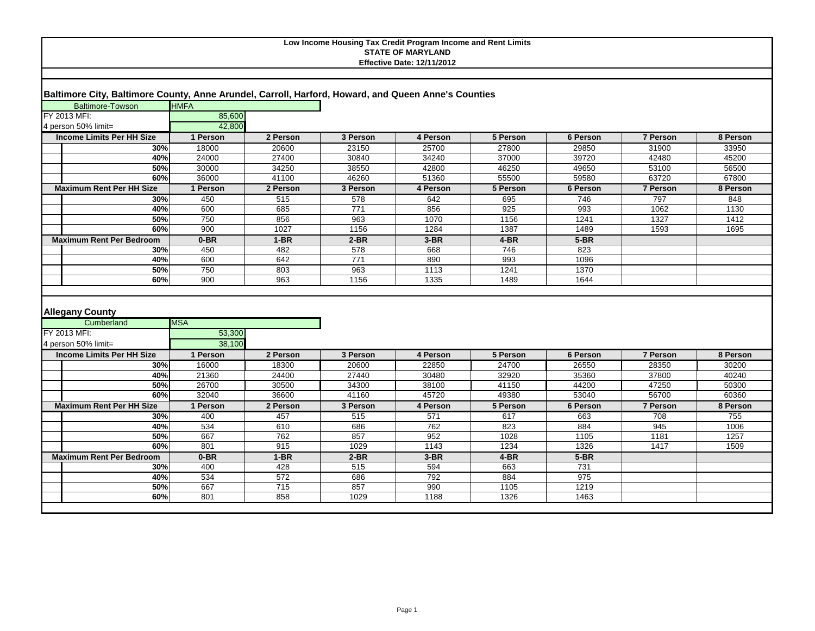# **Baltimore City, Baltimore County, Anne Arundel, Carroll, Harford, Howard, and Queen Anne's Counties**

| <b>Baltimore-Towson</b>          | <b>HMFA</b> |          |                  |          |          |                 |                 |          |
|----------------------------------|-------------|----------|------------------|----------|----------|-----------------|-----------------|----------|
| FY 2013 MFI:                     | 85,600      |          |                  |          |          |                 |                 |          |
| 4 person 50% limit=              | 42.800      |          |                  |          |          |                 |                 |          |
| <b>Income Limits Per HH Size</b> | 1 Person    | 2 Person | 3 Person         | 4 Person | 5 Person | 6 Person        | <b>7 Person</b> | 8 Person |
| 30%                              | 18000       | 20600    | 23150            | 25700    | 27800    | 29850           | 31900           | 33950    |
| 40%                              | 24000       | 27400    | 30840            | 34240    | 37000    | 39720           | 42480           | 45200    |
| 50%                              | 30000       | 34250    | 38550            | 42800    | 46250    | 49650           | 53100           | 56500    |
| 60%                              | 36000       | 41100    | 46260            | 51360    | 55500    | 59580           | 63720           | 67800    |
| <b>Maximum Rent Per HH Size</b>  | 1 Person    | 2 Person | 3 Person         | 4 Person | 5 Person | <b>6 Person</b> | <b>7 Person</b> | 8 Person |
| 30%                              | 450         | 515      | 578              | 642      | 695      | 746             | 797             | 848      |
| 40%                              | 600         | 685      | $\overline{771}$ | 856      | 925      | 993             | 1062            | 1130     |
| 50%                              | 750         | 856      | 963              | 1070     | 1156     | 1241            | 1327            | 1412     |
| 60%                              | 900         | 1027     | 1156             | 1284     | 1387     | 1489            | 1593            | 1695     |
| <b>Maximum Rent Per Bedroom</b>  | $0-BR$      | $1-BR$   | $2-BR$           | $3-BR$   | $4-BR$   | $5-BR$          |                 |          |
| 30%                              | 450         | 482      | 578              | 668      | 746      | 823             |                 |          |
| 40%                              | 600         | 642      | 771              | 890      | 993      | 1096            |                 |          |
| 50%                              | 750         | 803      | 963              | 1113     | 1241     | 1370            |                 |          |
| 60%                              | 900         | 963      | 1156             | 1335     | 1489     | 1644            |                 |          |
|                                  |             |          |                  |          |          |                 |                 |          |
| <b>Allegany County</b>           |             |          |                  |          |          |                 |                 |          |
| Cumberland                       | <b>MSA</b>  |          |                  |          |          |                 |                 |          |
| FY 2013 MFI:                     | 53,300      |          |                  |          |          |                 |                 |          |
| 4 person 50% limit=              | 38,100      |          |                  |          |          |                 |                 |          |
| <b>Income Limits Per HH Size</b> | 1 Person    | 2 Person | 3 Person         | 4 Person | 5 Person | 6 Person        | 7 Person        | 8 Person |
| 30%                              | 16000       | 18300    | 20600            | 22850    | 24700    | 26550           | 28350           | 30200    |
| 40%                              | 21360       | 24400    | 27440            | 30480    | 32920    | 35360           | 37800           | 40240    |
| 50%                              | 26700       | 30500    | 34300            | 38100    | 41150    | 44200           | 47250           | 50300    |
| 60%                              | 32040       | 36600    | 41160            | 45720    | 49380    | 53040           | 56700           | 60360    |
| <b>Maximum Rent Per HH Size</b>  | 1 Person    | 2 Person | 3 Person         | 4 Person | 5 Person | 6 Person        | 7 Person        | 8 Person |
| 30%                              | 400         | 457      | 515              | 571      | 617      | 663             | 708             | 755      |
| 40%                              | 534         | 610      | 686              | 762      | 823      | 884             | 945             | 1006     |
| 50%                              | 667         | 762      | 857              | 952      | 1028     | 1105            | 1181            | 1257     |
| 60%                              | 801         | 915      | 1029             | 1143     | 1234     | 1326            | 1417            | 1509     |
| <b>Maximum Rent Per Bedroom</b>  | $0-BR$      | $1-BR$   | $2-BR$           | $3-BR$   | $4-BR$   | $5-BR$          |                 |          |
| 30%                              | 400         | 428      | 515              | 594      | 663      | 731             |                 |          |
| 40%                              | 534         | 572      | 686              | 792      | 884      | 975             |                 |          |
| 50%                              | 667         | 715      | 857              | 990      | 1105     | 1219            |                 |          |
| 60%                              | 801         | 858      | 1029             | 1188     | 1326     | 1463            |                 |          |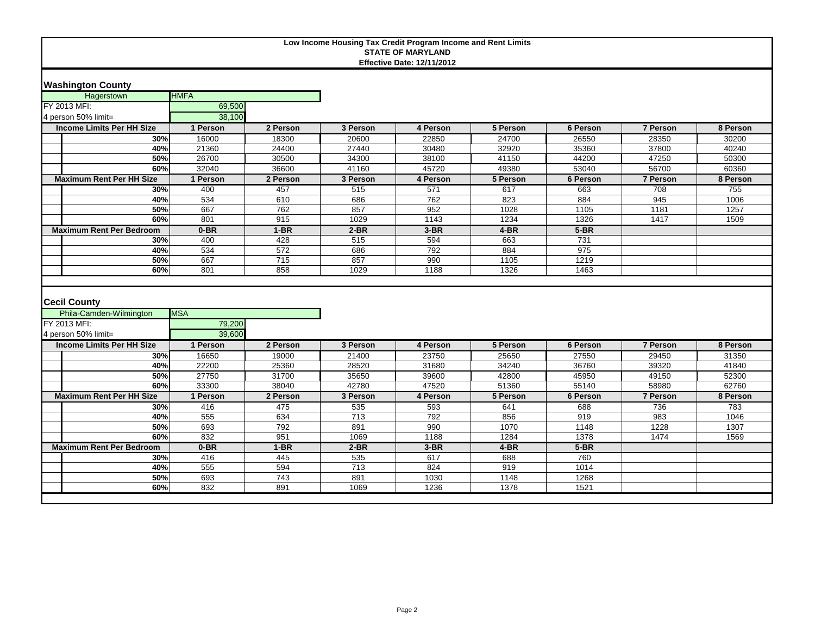## **Washington County**

| Hagerstown                      | <b>HMFA</b> |          |          |          |          |          |                 |          |
|---------------------------------|-------------|----------|----------|----------|----------|----------|-----------------|----------|
| FY 2013 MFI:                    | 69,500      |          |          |          |          |          |                 |          |
| 4 person 50% limit=             | 38,100      |          |          |          |          |          |                 |          |
| Income Limits Per HH Size       | 1 Person    | 2 Person | 3 Person | 4 Person | 5 Person | 6 Person | <b>7 Person</b> | 8 Person |
| 30%                             | 16000       | 18300    | 20600    | 22850    | 24700    | 26550    | 28350           | 30200    |
| 40%                             | 21360       | 24400    | 27440    | 30480    | 32920    | 35360    | 37800           | 40240    |
| 50%                             | 26700       | 30500    | 34300    | 38100    | 41150    | 44200    | 47250           | 50300    |
| 60%                             | 32040       | 36600    | 41160    | 45720    | 49380    | 53040    | 56700           | 60360    |
| <b>Maximum Rent Per HH Size</b> | 1 Person    | 2 Person | 3 Person | 4 Person | 5 Person | 6 Person | <b>7 Person</b> | 8 Person |
| 30%                             | 400         | 457      | 515      | 571      | 617      | 663      | 708             | 755      |
| 40%                             | 534         | 610      | 686      | 762      | 823      | 884      | 945             | 1006     |
| 50%                             | 667         | 762      | 857      | 952      | 1028     | 1105     | 1181            | 1257     |
| 60%                             | 801         | 915      | 1029     | 1143     | 1234     | 1326     | 1417            | 1509     |
| <b>Maximum Rent Per Bedroom</b> | $0-BR$      | 1-BR     | $2-BR$   | $3-BR$   | 4-BR     | $5-BR$   |                 |          |
| 30%                             | 400         | 428      | 515      | 594      | 663      | 731      |                 |          |
| 40%                             | 534         | 572      | 686      | 792      | 884      | 975      |                 |          |
| 50%                             | 667         | 715      | 857      | 990      | 1105     | 1219     |                 |          |
| 60%                             | 801         | 858      | 1029     | 1188     | 1326     | 1463     |                 |          |
|                                 |             |          |          |          |          |          |                 |          |

## **Cecil County**

| _ _ _ _ _ _ _ _ _                |            |          |          |          |          |          |                 |          |
|----------------------------------|------------|----------|----------|----------|----------|----------|-----------------|----------|
| Phila-Camden-Wilmington          | <b>MSA</b> |          |          |          |          |          |                 |          |
| FY 2013 MFI:                     | 79,200     |          |          |          |          |          |                 |          |
| 4 person 50% limit=              | 39,600     |          |          |          |          |          |                 |          |
| <b>Income Limits Per HH Size</b> | I Person   | 2 Person | 3 Person | 4 Person | 5 Person | 6 Person | 7 Person        | 8 Person |
| 30%                              | 16650      | 19000    | 21400    | 23750    | 25650    | 27550    | 29450           | 31350    |
| 40%                              | 22200      | 25360    | 28520    | 31680    | 34240    | 36760    | 39320           | 41840    |
| 50%                              | 27750      | 31700    | 35650    | 39600    | 42800    | 45950    | 49150           | 52300    |
| 60%                              | 33300      | 38040    | 42780    | 47520    | 51360    | 55140    | 58980           | 62760    |
| <b>Maximum Rent Per HH Size</b>  | l Person   | 2 Person | 3 Person | 4 Person | 5 Person | 6 Person | <b>7 Person</b> | 8 Person |
| 30%                              | 416        | 475      | 535      | 593      | 641      | 688      | 736             | 783      |
| 40%                              | 555        | 634      | 713      | 792      | 856      | 919      | 983             | 1046     |
| 50%                              | 693        | 792      | 891      | 990      | 1070     | 1148     | 1228            | 1307     |
| 60%                              | 832        | 951      | 1069     | 1188     | 1284     | 1378     | 1474            | 1569     |
| <b>Maximum Rent Per Bedroom</b>  | $0-BR$     | $1-BR$   | $2-BR$   | $3-BR$   | $4-BR$   | $5-BR$   |                 |          |
| 30%                              | 416        | 445      | 535      | 617      | 688      | 760      |                 |          |
| 40%                              | 555        | 594      | 713      | 824      | 919      | 1014     |                 |          |
| 50%                              | 693        | 743      | 891      | 1030     | 1148     | 1268     |                 |          |
| 60%                              | 832        | 891      | 1069     | 1236     | 1378     | 1521     |                 |          |
|                                  |            |          |          |          |          |          |                 |          |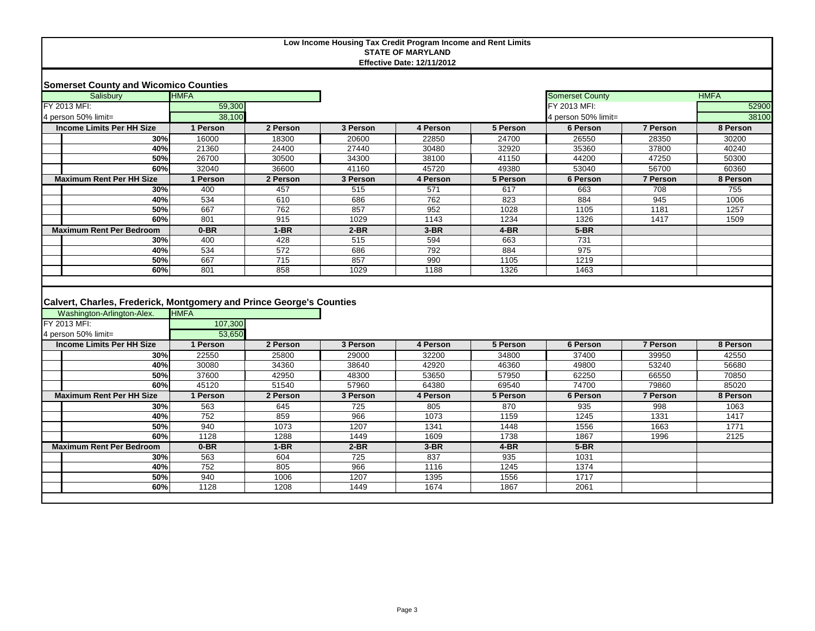|  |  |  | <b>Somerset County and Wicomico Counties</b> |  |
|--|--|--|----------------------------------------------|--|
|--|--|--|----------------------------------------------|--|

| <b>HMFA</b><br>Salisbury         |          |          |          |          |          | <b>Somerset County</b> |                 | <b>HMFA</b> |
|----------------------------------|----------|----------|----------|----------|----------|------------------------|-----------------|-------------|
| FY 2013 MFI:                     | 59,300   |          |          |          |          | FY 2013 MFI:           |                 | 52900       |
| 4 person 50% limit=              | 38,100   |          |          |          |          | 4 person 50% limit=    |                 | 38100       |
| <b>Income Limits Per HH Size</b> | ∣ Person | 2 Person | 3 Person | 4 Person | 5 Person | 6 Person               | 7 Person        | 8 Person    |
| <b>30%</b>                       | 16000    | 18300    | 20600    | 22850    | 24700    | 26550                  | 28350           | 30200       |
| 40%                              | 21360    | 24400    | 27440    | 30480    | 32920    | 35360                  | 37800           | 40240       |
| 50%                              | 26700    | 30500    | 34300    | 38100    | 41150    | 44200                  | 47250           | 50300       |
| 60%                              | 32040    | 36600    | 41160    | 45720    | 49380    | 53040                  | 56700           | 60360       |
| <b>Maximum Rent Per HH Size</b>  | Person   | 2 Person | 3 Person | 4 Person | 5 Person | 6 Person               | <b>7 Person</b> | 8 Person    |
| 30%                              | 400      | 457      | 515      | 571      | 617      | 663                    | 708             | 755         |
| 40%                              | 534      | 610      | 686      | 762      | 823      | 884                    | 945             | 1006        |
| 50%                              | 667      | 762      | 857      | 952      | 1028     | 1105                   | 1181            | 1257        |
| 60%                              | 801      | 915      | 1029     | 1143     | 1234     | 1326                   | 1417            | 1509        |
| <b>Maximum Rent Per Bedroom</b>  | $0-BR$   | $1-BR$   | $2-BR$   | $3-BR$   | $4-BR$   | $5-BR$                 |                 |             |
| 30%                              | 400      | 428      | 515      | 594      | 663      | 731                    |                 |             |
| 40%                              | 534      | 572      | 686      | 792      | 884      | 975                    |                 |             |
| 50%                              | 667      | 715      | 857      | 990      | 1105     | 1219                   |                 |             |
| 60%                              | 801      | 858      | 1029     | 1188     | 1326     | 1463                   |                 |             |

# **Calvert, Charles, Frederick, Montgomery and Prince George's Counties**

| Washington-Arlington-Alex.       | <b>HMFA</b> |          |          |          |          |          |          |          |
|----------------------------------|-------------|----------|----------|----------|----------|----------|----------|----------|
| FY 2013 MFI:                     | 107,300     |          |          |          |          |          |          |          |
| 4 person 50% limit=              | 53,650      |          |          |          |          |          |          |          |
| <b>Income Limits Per HH Size</b> | l Person    | 2 Person | 3 Person | 4 Person | 5 Person | 6 Person | 7 Person | 8 Person |
| 30%                              | 22550       | 25800    | 29000    | 32200    | 34800    | 37400    | 39950    | 42550    |
| 40%                              | 30080       | 34360    | 38640    | 42920    | 46360    | 49800    | 53240    | 56680    |
| 50%                              | 37600       | 42950    | 48300    | 53650    | 57950    | 62250    | 66550    | 70850    |
| 60%                              | 45120       | 51540    | 57960    | 64380    | 69540    | 74700    | 79860    | 85020    |
| <b>Maximum Rent Per HH Size</b>  | Person      | 2 Person | 3 Person | 4 Person | 5 Person | 6 Person | 7 Person | 8 Person |
| 30%                              | 563         | 645      | 725      | 805      | 870      | 935      | 998      | 1063     |
| 40%                              | 752         | 859      | 966      | 1073     | 1159     | 1245     | 1331     | 1417     |
| 50%                              | 940         | 1073     | 1207     | 1341     | 1448     | 1556     | 1663     | 1771     |
| 60%                              | 1128        | 1288     | 1449     | 1609     | 1738     | 1867     | 1996     | 2125     |
| <b>Maximum Rent Per Bedroom</b>  | $0-BR$      | $1-BR$   | $2-BR$   | $3-BR$   | 4-BR     | $5-BR$   |          |          |
| 30%                              | 563         | 604      | 725      | 837      | 935      | 1031     |          |          |
| 40%                              | 752         | 805      | 966      | 1116     | 1245     | 1374     |          |          |
| 50%                              | 940         | 1006     | 1207     | 1395     | 1556     | 1717     |          |          |
| 60%                              | 1128        | 1208     | 1449     | 1674     | 1867     | 2061     |          |          |
|                                  |             |          |          |          |          |          |          |          |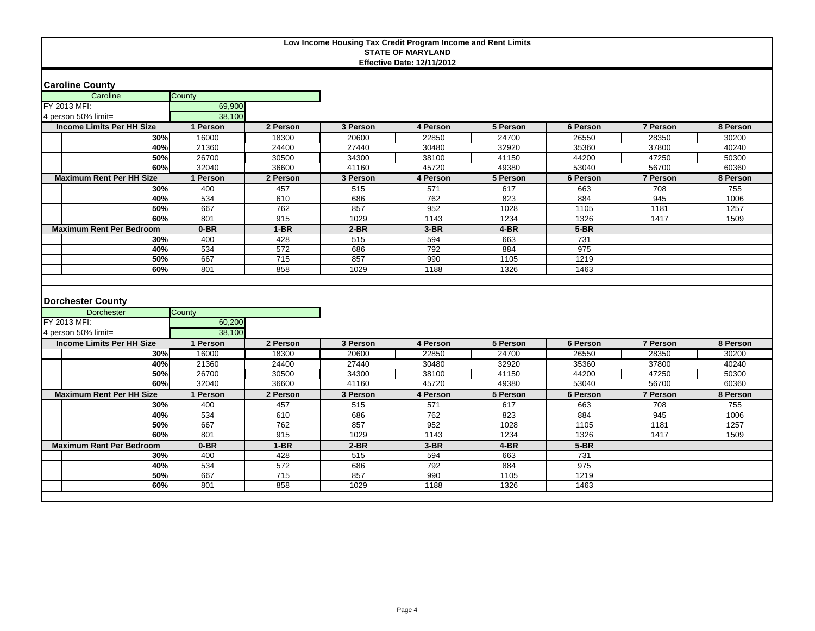### **Caroline County**

| <b>ICaroline County</b>                                       |                  |                        |            |            |             |             |                 |          |
|---------------------------------------------------------------|------------------|------------------------|------------|------------|-------------|-------------|-----------------|----------|
| Caroline                                                      | County           |                        |            |            |             |             |                 |          |
| FY 2013 MFI:                                                  | 69,900           |                        |            |            |             |             |                 |          |
| 4 person 50% limit=                                           | 38,100           |                        |            |            |             |             |                 |          |
| <b>Income Limits Per HH Size</b>                              | 1 Person         | 2 Person               | 3 Person   | 4 Person   | 5 Person    | 6 Person    | 7 Person        | 8 Person |
| 30%                                                           | 16000            | 18300                  | 20600      | 22850      | 24700       | 26550       | 28350           | 30200    |
| 40%                                                           | 21360            | 24400                  | 27440      | 30480      | 32920       | 35360       | 37800           | 40240    |
| 50%                                                           | 26700            | 30500                  | 34300      | 38100      | 41150       | 44200       | 47250           | 50300    |
| 60%                                                           | 32040            | 36600                  | 41160      | 45720      | 49380       | 53040       | 56700           | 60360    |
| <b>Maximum Rent Per HH Size</b>                               | 1 Person         | 2 Person               | 3 Person   | 4 Person   | 5 Person    | 6 Person    | 7 Person        | 8 Person |
| 30%                                                           | 400              | 457                    | 515        | 571        | 617         | 663         | 708             | 755      |
| 40%                                                           | 534              | 610                    | 686        | 762        | 823         | 884         | 945             | 1006     |
| 50%                                                           | 667              | 762                    | 857        | 952        | 1028        | 1105        | 1181            | 1257     |
| 60%                                                           | 801              | 915                    | 1029       | 1143       | 1234        | 1326        | 1417            | 1509     |
| <b>Maximum Rent Per Bedroom</b>                               | $0-BR$           | $1-BR$                 | $2-BR$     | $3-BR$     | $4-BR$      | $5-BR$      |                 |          |
| 30%                                                           | 400              | 428                    | 515        | 594        | 663         | 731         |                 |          |
| 40%                                                           | 534              | 572                    | 686        | 792        | 884         | 975         |                 |          |
| 50%                                                           | 667              | 715                    | 857        | 990        | 1105        | 1219        |                 |          |
| 60%                                                           | 801              | 858                    | 1029       | 1188       | 1326        | 1463        |                 |          |
| <b>Dorchester County</b><br><b>Dorchester</b><br>FY 2013 MFI: | County<br>60,200 |                        |            |            |             |             |                 |          |
| 4 person 50% limit=                                           | 38.100           |                        |            |            |             |             |                 |          |
| <b>Income Limits Per HH Size</b>                              | 1 Person         | 2 Person               | 3 Person   | 4 Person   | 5 Person    | 6 Person    | <b>7 Person</b> | 8 Person |
| 30%                                                           | 16000            | 18300                  | 20600      | 22850      | 24700       | 26550       | 28350           | 30200    |
| 40%                                                           | 21360            | 24400                  | 27440      | 30480      | 32920       | 35360       | 37800           | 40240    |
| 50%                                                           | 26700            | 30500                  | 34300      | 38100      | 41150       | 44200       | 47250           | 50300    |
| 60%                                                           | 32040            | 36600                  | 41160      | 45720      | 49380       | 53040       | 56700           | 60360    |
| <b>Maximum Rent Per HH Size</b>                               | 1 Person         | 2 Person               | 3 Person   | 4 Person   | 5 Person    | 6 Person    | 7 Person        | 8 Person |
| 30%                                                           | 400              | 457                    | 515        | 571        | 617         | 663         | 708             | 755      |
| 40%                                                           | 534              | 610                    | 686        | 762        | 823         | 884         | 945             |          |
| 50%                                                           | 667              |                        |            |            |             |             |                 | 1006     |
|                                                               |                  | 762                    | 857        | 952        | 1028        | 1105        | 1181            | 1257     |
| 60%                                                           | 801              | 915                    | 1029       | 1143       | 1234        | 1326        | 1417            | 1509     |
| <b>Maximum Rent Per Bedroom</b>                               | $0-BR$           | $1-BR$                 | $2-BR$     | $3-BR$     | $4-BR$      | $5-BR$      |                 |          |
| 30%                                                           | 400              | 428                    | 515        | 594        | 663         | 731         |                 |          |
| 40%<br>50%                                                    | 534<br>667       | 572<br>$\frac{1}{715}$ | 686<br>857 | 792<br>990 | 884<br>1105 | 975<br>1219 |                 |          |

**60% 801 808 1029 1188 1326 1463**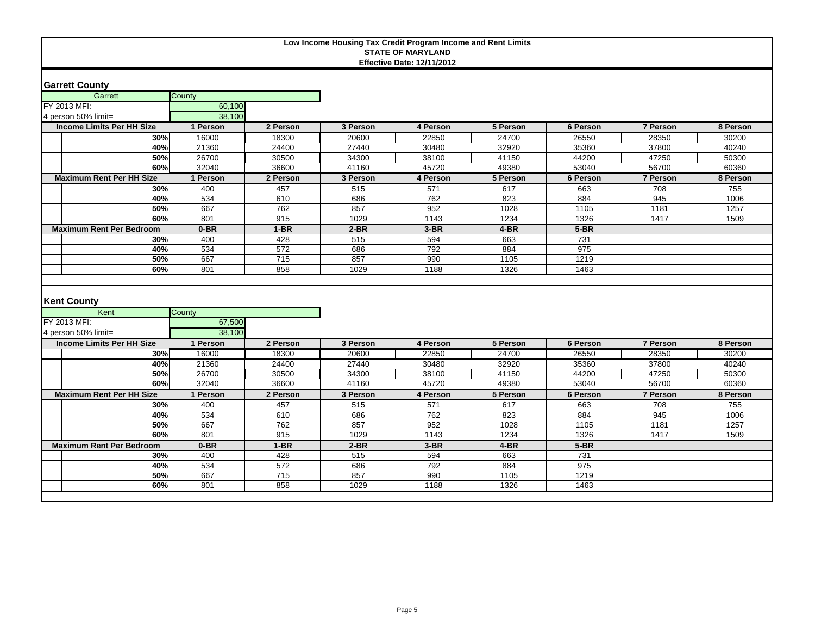### **Garrett County**

| <b>Garrett Courity</b>                     |                  |                 |          |          |          |          |          |          |
|--------------------------------------------|------------------|-----------------|----------|----------|----------|----------|----------|----------|
| Garrett                                    | County           |                 |          |          |          |          |          |          |
| FY 2013 MFI:                               | 60,100           |                 |          |          |          |          |          |          |
| 4 person 50% limit=                        | 38,100           |                 |          |          |          |          |          |          |
| <b>Income Limits Per HH Size</b>           | 1 Person         | 2 Person        | 3 Person | 4 Person | 5 Person | 6 Person | 7 Person | 8 Person |
| 30%                                        | 16000            | 18300           | 20600    | 22850    | 24700    | 26550    | 28350    | 30200    |
| 40%                                        | 21360            | 24400           | 27440    | 30480    | 32920    | 35360    | 37800    | 40240    |
| 50%                                        | 26700            | 30500           | 34300    | 38100    | 41150    | 44200    | 47250    | 50300    |
| 60%                                        | 32040            | 36600           | 41160    | 45720    | 49380    | 53040    | 56700    | 60360    |
| <b>Maximum Rent Per HH Size</b>            | 1 Person         | 2 Person        | 3 Person | 4 Person | 5 Person | 6 Person | 7 Person | 8 Person |
| 30%                                        | 400              | 457             | 515      | 571      | 617      | 663      | 708      | 755      |
| 40%                                        | 534              | 610             | 686      | 762      | 823      | 884      | 945      | 1006     |
| 50%                                        | 667              | 762             | 857      | 952      | 1028     | 1105     | 1181     | 1257     |
| 60%                                        | 801              | 915             | 1029     | 1143     | 1234     | 1326     | 1417     | 1509     |
| <b>Maximum Rent Per Bedroom</b>            | $0-BR$           | $1-BR$          | $2-BR$   | $3-BR$   | $4-BR$   | $5-BR$   |          |          |
| 30%                                        | 400              | 428             | 515      | 594      | 663      | 731      |          |          |
| 40%                                        | 534              | 572             | 686      | 792      | 884      | 975      |          |          |
| 50%                                        | 667              | 715             | 857      | 990      | 1105     | 1219     |          |          |
| 60%                                        | 801              | 858             | 1029     | 1188     | 1326     | 1463     |          |          |
| <b>Kent County</b><br>Kent<br>FY 2013 MFI: | County<br>67,500 |                 |          |          |          |          |          |          |
| 4 person 50% limit=                        | 38.100           |                 |          |          |          |          |          |          |
| <b>Income Limits Per HH Size</b>           | 1 Person         | 2 Person        | 3 Person | 4 Person | 5 Person | 6 Person | 7 Person | 8 Person |
| 30%                                        | 16000            | 18300           | 20600    | 22850    | 24700    | 26550    | 28350    | 30200    |
| 40%                                        | 21360            | 24400           | 27440    | 30480    | 32920    | 35360    | 37800    | 40240    |
| 50%                                        | 26700            | 30500           | 34300    | 38100    | 41150    | 44200    | 47250    | 50300    |
| 60%                                        | 32040            | 36600           | 41160    | 45720    | 49380    | 53040    | 56700    | 60360    |
| <b>Maximum Rent Per HH Size</b>            | 1 Person         | 2 Person        | 3 Person | 4 Person | 5 Person | 6 Person | 7 Person | 8 Person |
| 30%                                        | 400              | 457             | 515      | 571      | 617      | 663      | 708      | 755      |
| 40%                                        | 534              | 610             | 686      | 762      | 823      | 884      | 945      | 1006     |
| 50%                                        | 667              | 762             | 857      | 952      | 1028     | 1105     | 1181     | 1257     |
| 60%                                        | 801              | 915             | 1029     | 1143     | 1234     | 1326     | 1417     | 1509     |
| <b>Maximum Rent Per Bedroom</b>            | $0-BR$           | $1-BR$          | $2-BR$   | $3-BR$   | $4-BR$   | $5-BR$   |          |          |
| 30%                                        | 400              | 428             | 515      | 594      | 663      | 731      |          |          |
| 40%                                        | 534              | 572             | 686      | 792      | 884      | 975      |          |          |
| 50%                                        | 667              | $\frac{1}{715}$ | 857      | 990      | 1105     | 1219     |          |          |

**60% 801 808 1029 1188 1326 1463**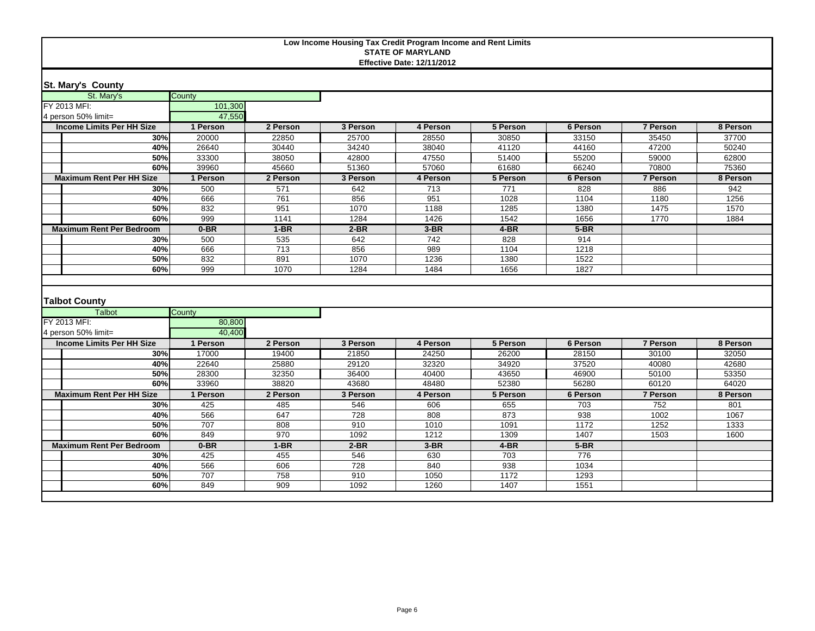| St. Mary's County |  |
|-------------------|--|
|-------------------|--|

| St. Mary's                       | County     |            |             |                  |              |              |                 |          |
|----------------------------------|------------|------------|-------------|------------------|--------------|--------------|-----------------|----------|
| FY 2013 MFI:                     | 101,300    |            |             |                  |              |              |                 |          |
| 4 person 50% limit=              | 47,550     |            |             |                  |              |              |                 |          |
| <b>Income Limits Per HH Size</b> | 1 Person   | 2 Person   | 3 Person    | 4 Person         | 5 Person     | 6 Person     | 7 Person        | 8 Person |
| 30%                              | 20000      | 22850      | 25700       | 28550            | 30850        | 33150        | 35450           | 37700    |
| 40%                              | 26640      | 30440      | 34240       | 38040            | 41120        | 44160        | 47200           | 50240    |
| 50%                              | 33300      | 38050      | 42800       | 47550            | 51400        | 55200        | 59000           | 62800    |
| 60%                              | 39960      | 45660      | 51360       | 57060            | 61680        | 66240        | 70800           | 75360    |
| <b>Maximum Rent Per HH Size</b>  | 1 Person   | 2 Person   | 3 Person    | 4 Person         | 5 Person     | 6 Person     | <b>7 Person</b> | 8 Person |
| 30%                              | 500        | 571        | 642         | 713              | 771          | 828          | 886             | 942      |
| 40%                              | 666        | 761        | 856         | 951              | 1028         | 1104         | 1180            | 1256     |
| 50%                              | 832        | 951        | 1070        | 1188             | 1285         | 1380         | 1475            | 1570     |
| 60%                              | 999        | 1141       | 1284        | 1426             | 1542         | 1656         | 1770            | 1884     |
| <b>Maximum Rent Per Bedroom</b>  | $0-BR$     | $1-BR$     | $2-BR$      | $3-BR$           | $4-BR$       | $5-BR$       |                 |          |
| 30%                              | 500        | 535        | 642         | $\overline{742}$ | 828          | 914          |                 |          |
| 40%                              | 666        | 713        | 856         | 989              | 1104         | 1218         |                 |          |
| 50%                              | 832        | 891        | 1070        | 1236             | 1380         | 1522         |                 |          |
| 60%                              | 999        | 1070       | 1284        | 1484             | 1656         | 1827         |                 |          |
| <b>Talbot County</b><br>Talbot   | County     |            |             |                  |              |              |                 |          |
| FY 2013 MFI:                     | 80,800     |            |             |                  |              |              |                 |          |
| 4 person 50% limit=              | 40.400     |            |             |                  |              |              |                 |          |
| <b>Income Limits Per HH Size</b> | 1 Person   | 2 Person   | 3 Person    | 4 Person         | 5 Person     | 6 Person     | 7 Person        | 8 Person |
| 30%                              | 17000      | 19400      | 21850       | 24250            | 26200        | 28150        | 30100           | 32050    |
| 40%                              | 22640      | 25880      | 29120       | 32320            | 34920        | 37520        | 40080           | 42680    |
| 50%                              | 28300      | 32350      | 36400       | 40400            | 43650        | 46900        | 50100           | 53350    |
| 60%                              | 33960      | 38820      | 43680       | 48480            | 52380        | 56280        | 60120           | 64020    |
| <b>Maximum Rent Per HH Size</b>  | 1 Person   | 2 Person   | 3 Person    | 4 Person         | 5 Person     | 6 Person     | <b>7 Person</b> | 8 Person |
| 30%                              | 425        | 485        | 546         | 606              | 655          | 703          | 752             | 801      |
| 40%                              | 566        | 647        | 728         | 808              | 873          | 938          | 1002            | 1067     |
| 50%                              |            |            |             |                  |              |              |                 |          |
|                                  | 707        | 808        | 910         | 1010             | 1091         | 1172         | 1252            | 1333     |
| 60%                              | 849        | 970        | 1092        | 1212             | 1309         | 1407         | 1503            | 1600     |
| <b>Maximum Rent Per Bedroom</b>  | $0-BR$     | $1-BR$     | $2-BR$      | $3-BR$           | $4-BR$       | $5-BR$       |                 |          |
| 30%                              | 425        | 455        | 546         | 630              | 703          | 776          |                 |          |
| 40%                              | 566        | 606        | 728         | 840              | 938          | 1034         |                 |          |
| 50%<br>60%                       | 707<br>849 | 758<br>909 | 910<br>1092 | 1050<br>1260     | 1172<br>1407 | 1293<br>1551 |                 |          |